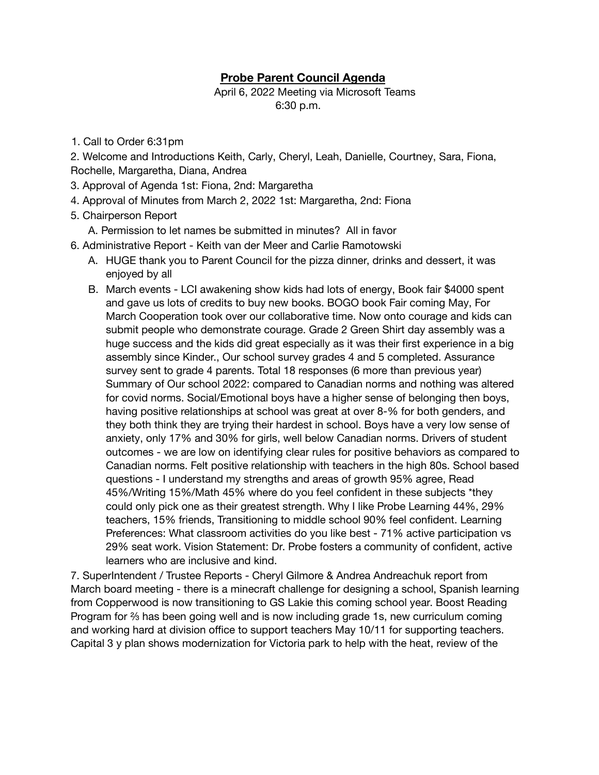## **Probe Parent Council Agenda**

April 6, 2022 Meeting via Microsoft Teams 6:30 p.m.

1. Call to Order 6:31pm

2. Welcome and Introductions Keith, Carly, Cheryl, Leah, Danielle, Courtney, Sara, Fiona, Rochelle, Margaretha, Diana, Andrea

- 3. Approval of Agenda 1st: Fiona, 2nd: Margaretha
- 4. Approval of Minutes from March 2, 2022 1st: Margaretha, 2nd: Fiona
- 5. Chairperson Report
	- A. Permission to let names be submitted in minutes? All in favor
- 6. Administrative Report Keith van der Meer and Carlie Ramotowski
	- A. HUGE thank you to Parent Council for the pizza dinner, drinks and dessert, it was enjoyed by all
	- B. March events LCI awakening show kids had lots of energy, Book fair \$4000 spent and gave us lots of credits to buy new books. BOGO book Fair coming May, For March Cooperation took over our collaborative time. Now onto courage and kids can submit people who demonstrate courage. Grade 2 Green Shirt day assembly was a huge success and the kids did great especially as it was their first experience in a big assembly since Kinder., Our school survey grades 4 and 5 completed. Assurance survey sent to grade 4 parents. Total 18 responses (6 more than previous year) Summary of Our school 2022: compared to Canadian norms and nothing was altered for covid norms. Social/Emotional boys have a higher sense of belonging then boys, having positive relationships at school was great at over 8-% for both genders, and they both think they are trying their hardest in school. Boys have a very low sense of anxiety, only 17% and 30% for girls, well below Canadian norms. Drivers of student outcomes - we are low on identifying clear rules for positive behaviors as compared to Canadian norms. Felt positive relationship with teachers in the high 80s. School based questions - I understand my strengths and areas of growth 95% agree, Read 45%/Writing 15%/Math 45% where do you feel confident in these subjects \*they could only pick one as their greatest strength. Why I like Probe Learning 44%, 29% teachers, 15% friends, Transitioning to middle school 90% feel confident. Learning Preferences: What classroom activities do you like best - 71% active participation vs 29% seat work. Vision Statement: Dr. Probe fosters a community of confident, active learners who are inclusive and kind.

7. SuperIntendent / Trustee Reports - Cheryl Gilmore & Andrea Andreachuk report from March board meeting - there is a minecraft challenge for designing a school, Spanish learning from Copperwood is now transitioning to GS Lakie this coming school year. Boost Reading Program for ⅔ has been going well and is now including grade 1s, new curriculum coming and working hard at division office to support teachers May 10/11 for supporting teachers. Capital 3 y plan shows modernization for Victoria park to help with the heat, review of the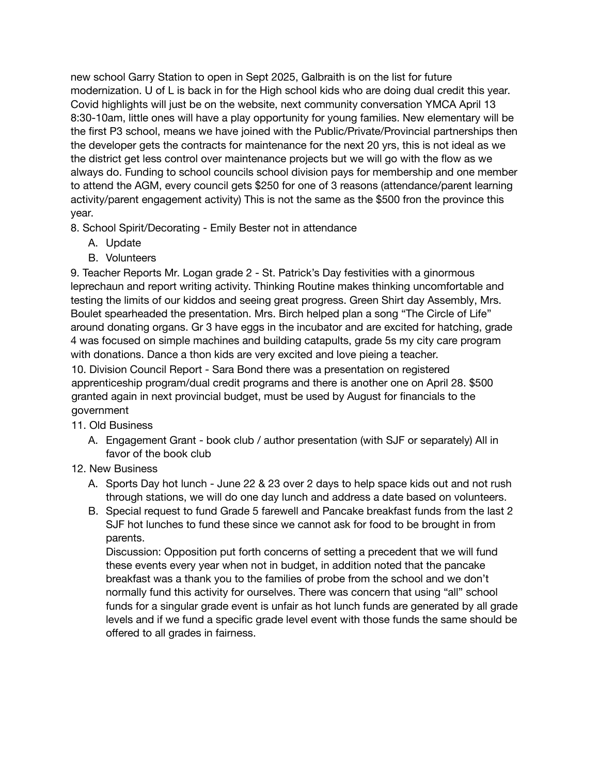new school Garry Station to open in Sept 2025, Galbraith is on the list for future modernization. U of L is back in for the High school kids who are doing dual credit this year. Covid highlights will just be on the website, next community conversation YMCA April 13 8:30-10am, little ones will have a play opportunity for young families. New elementary will be the first P3 school, means we have joined with the Public/Private/Provincial partnerships then the developer gets the contracts for maintenance for the next 20 yrs, this is not ideal as we the district get less control over maintenance projects but we will go with the flow as we always do. Funding to school councils school division pays for membership and one member to attend the AGM, every council gets \$250 for one of 3 reasons (attendance/parent learning activity/parent engagement activity) This is not the same as the \$500 fron the province this year.

8. School Spirit/Decorating - Emily Bester not in attendance

- A. Update
- B. Volunteers

9. Teacher Reports Mr. Logan grade 2 - St. Patrick's Day festivities with a ginormous leprechaun and report writing activity. Thinking Routine makes thinking uncomfortable and testing the limits of our kiddos and seeing great progress. Green Shirt day Assembly, Mrs. Boulet spearheaded the presentation. Mrs. Birch helped plan a song "The Circle of Life" around donating organs. Gr 3 have eggs in the incubator and are excited for hatching, grade 4 was focused on simple machines and building catapults, grade 5s my city care program with donations. Dance a thon kids are very excited and love pieing a teacher.

10. Division Council Report - Sara Bond there was a presentation on registered apprenticeship program/dual credit programs and there is another one on April 28. \$500 granted again in next provincial budget, must be used by August for financials to the government

- 11. Old Business
	- A. Engagement Grant book club / author presentation (with SJF or separately) All in favor of the book club
- 12. New Business
	- A. Sports Day hot lunch June 22 & 23 over 2 days to help space kids out and not rush through stations, we will do one day lunch and address a date based on volunteers.
	- B. Special request to fund Grade 5 farewell and Pancake breakfast funds from the last 2 SJF hot lunches to fund these since we cannot ask for food to be brought in from parents.

Discussion: Opposition put forth concerns of setting a precedent that we will fund these events every year when not in budget, in addition noted that the pancake breakfast was a thank you to the families of probe from the school and we don't normally fund this activity for ourselves. There was concern that using "all" school funds for a singular grade event is unfair as hot lunch funds are generated by all grade levels and if we fund a specific grade level event with those funds the same should be offered to all grades in fairness.